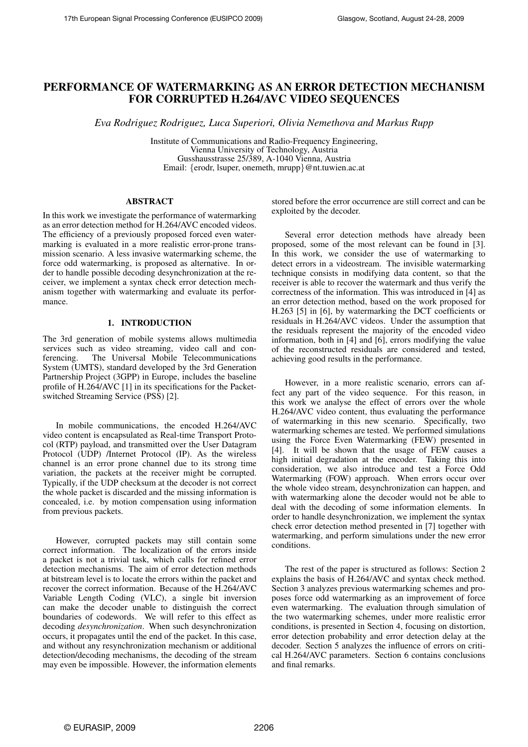# PERFORMANCE OF WATERMARKING AS AN ERROR DETECTION MECHANISM FOR CORRUPTED H.264/AVC VIDEO SEQUENCES

*Eva Rodriguez Rodriguez, Luca Superiori, Olivia Nemethova and Markus Rupp*

Institute of Communications and Radio-Frequency Engineering, Vienna University of Technology, Austria Gusshausstrasse 25/389, A-1040 Vienna, Austria Email: {erodr, lsuper, onemeth, mrupp}@nt.tuwien.ac.at

## ABSTRACT

In this work we investigate the performance of watermarking as an error detection method for H.264/AVC encoded videos. The efficiency of a previously proposed forced even watermarking is evaluated in a more realistic error-prone transmission scenario. A less invasive watermarking scheme, the force odd watermarking, is proposed as alternative. In order to handle possible decoding desynchronization at the receiver, we implement a syntax check error detection mechanism together with watermarking and evaluate its performance.

## 1. INTRODUCTION

The 3rd generation of mobile systems allows multimedia services such as video streaming, video call and conferencing. The Universal Mobile Telecommunications System (UMTS), standard developed by the 3rd Generation Partnership Project (3GPP) in Europe, includes the baseline profile of H.264/AVC [1] in its specifications for the Packetswitched Streaming Service (PSS) [2].

In mobile communications, the encoded H.264/AVC video content is encapsulated as Real-time Transport Protocol (RTP) payload, and transmitted over the User Datagram Protocol (UDP) /Internet Protocol (IP). As the wireless channel is an error prone channel due to its strong time variation, the packets at the receiver might be corrupted. Typically, if the UDP checksum at the decoder is not correct the whole packet is discarded and the missing information is concealed, i.e. by motion compensation using information from previous packets.

However, corrupted packets may still contain some correct information. The localization of the errors inside a packet is not a trivial task, which calls for refined error detection mechanisms. The aim of error detection methods at bitstream level is to locate the errors within the packet and recover the correct information. Because of the H.264/AVC Variable Length Coding (VLC), a single bit inversion can make the decoder unable to distinguish the correct boundaries of codewords. We will refer to this effect as decoding *desynchronization*. When such desynchronization occurs, it propagates until the end of the packet. In this case, and without any resynchronization mechanism or additional detection/decoding mechanisms, the decoding of the stream may even be impossible. However, the information elements

stored before the error occurrence are still correct and can be exploited by the decoder.

Several error detection methods have already been proposed, some of the most relevant can be found in [3]. In this work, we consider the use of watermarking to detect errors in a videostream. The invisible watermarking technique consists in modifying data content, so that the receiver is able to recover the watermark and thus verify the correctness of the information. This was introduced in [4] as an error detection method, based on the work proposed for H.263 [5] in [6], by watermarking the DCT coefficients or residuals in H.264/AVC videos. Under the assumption that the residuals represent the majority of the encoded video information, both in [4] and [6], errors modifying the value of the reconstructed residuals are considered and tested, achieving good results in the performance.

However, in a more realistic scenario, errors can affect any part of the video sequence. For this reason, in this work we analyse the effect of errors over the whole H.264/AVC video content, thus evaluating the performance of watermarking in this new scenario. Specifically, two watermarking schemes are tested. We performed simulations using the Force Even Watermarking (FEW) presented in [4]. It will be shown that the usage of FEW causes a high initial degradation at the encoder. Taking this into consideration, we also introduce and test a Force Odd Watermarking (FOW) approach. When errors occur over the whole video stream, desynchronization can happen, and with watermarking alone the decoder would not be able to deal with the decoding of some information elements. In order to handle desynchronization, we implement the syntax check error detection method presented in [7] together with watermarking, and perform simulations under the new error conditions.

The rest of the paper is structured as follows: Section 2 explains the basis of H.264/AVC and syntax check method. Section 3 analyzes previous watermarking schemes and proposes force odd watermarking as an improvement of force even watermarking. The evaluation through simulation of the two watermarking schemes, under more realistic error conditions, is presented in Section 4, focusing on distortion, error detection probability and error detection delay at the decoder. Section 5 analyzes the influence of errors on critical H.264/AVC parameters. Section 6 contains conclusions and final remarks.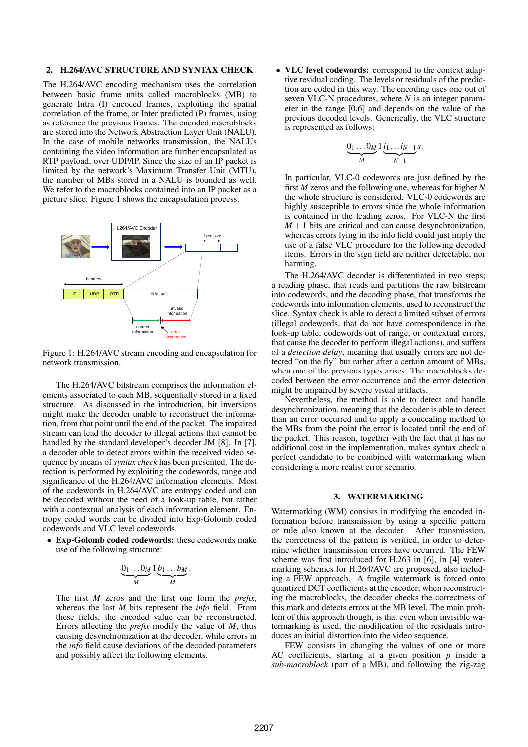### 2. H.264/AVC STRUCTURE AND SYNTAX CHECK

The H.264/AVC encoding mechanism uses the correlation between basic frame units called macroblocks (MB) to generate Intra (I) encoded frames, exploiting the spatial correlation of the frame, or Inter predicted (P) frames, using as reference the previous frames. The encoded macroblocks are stored into the Network Abstraction Layer Unit (NALU). In the case of mobile networks transmission, the NALUs containing the video information are further encapsulated as RTP payload, over UDP/IP. Since the size of an IP packet is limited by the network's Maximum Transfer Unit (MTU), the number of MBs stored in a NALU is bounded as well. We refer to the macroblocks contained into an IP packet as a picture slice. Figure 1 shows the encapsulation process.



Figure 1: H.264/AVC stream encoding and encapsulation for network transmission.

The H.264/AVC bitstream comprises the information elements associated to each MB, sequentially stored in a fixed structure. As discussed in the introduction, bit inversions might make the decoder unable to reconstruct the information, from that point until the end of the packet. The impaired stream can lead the decoder to illegal actions that cannot be handled by the standard developer's decoder JM [8]. In [7], a decoder able to detect errors within the received video sequence by means of*syntax check* has been presented. The detection is performed by exploiting the codewords, range and significance of the H.264/AVC information elements. Most of the codewords in H.264/AVC are entropy coded and can be decoded without the need of a look-up table, but rather with a contextual analysis of each information element. Entropy coded words can be divided into Exp-Golomb coded codewords and VLC level codewords.

• Exp-Golomb coded codewords: these codewords make use of the following structure:

$$
\underbrace{0_1 \dots 0_M}_{M} 1 \underbrace{b_1 \dots b_M}_{M}.
$$

The first *M* zeros and the first one form the *prefix*, whereas the last *M* bits represent the *info* field. From these fields, the encoded value can be reconstructed. Errors affecting the *prefix* modify the value of *M*, thus causing desynchronization at the decoder, while errors in the *info* field cause deviations of the decoded parameters and possibly affect the following elements.

• VLC level codewords: correspond to the context adaptive residual coding. The levels or residuals of the prediction are coded in this way. The encoding uses one out of seven VLC-N procedures, where *N* is an integer parameter in the range [0,6] and depends on the value of the previous decoded levels. Generically, the VLC structure is represented as follows:

$$
\underbrace{0_1 \dots 0_M}_{M} 1 \underbrace{i_1 \dots i_{N-1}}_{N-1} s.
$$

In particular, VLC-0 codewords are just defined by the first *M* zeros and the following one, whereas for higher *N* the whole structure is considered. VLC-0 codewords are highly susceptible to errors since the whole information is contained in the leading zeros. For VLC-N the first  $M+1$  bits are critical and can cause desynchronization, whereas errors lying in the info field could just imply the use of a false VLC procedure for the following decoded items. Errors in the sign field are neither detectable, nor harming.

The H.264/AVC decoder is differentiated in two steps; a reading phase, that reads and partitions the raw bitstream into codewords, and the decoding phase, that transforms the codewords into information elements, used to reconstruct the slice. Syntax check is able to detect a limited subset of errors (illegal codewords, that do not have correspondence in the look-up table, codewords out of range, or contextual errors, that cause the decoder to perform illegal actions), and suffers of a *detection delay*, meaning that usually errors are not detected "on the fly" but rather after a certain amount of MBs, when one of the previous types arises. The macroblocks decoded between the error occurrence and the error detection might be impaired by severe visual artifacts.

Nevertheless, the method is able to detect and handle desynchronization, meaning that the decoder is able to detect than an error occurred and to apply a concealing method to the MBs from the point the error is located until the end of the packet. This reason, together with the fact that it has no additional cost in the implementation, makes syntax check a perfect candidate to be combined with watermarking when considering a more realist error scenario.

#### 3. WATERMARKING

Watermarking (WM) consists in modifying the encoded information before transmission by using a specific pattern or rule also known at the decoder. After transmission, the correctness of the pattern is verified, in order to determine whether transmission errors have occurred. The FEW scheme was first introduced for H.263 in [6], in [4] watermarking schemes for H.264/AVC are proposed, also including a FEW approach. A fragile watermark is forced onto quantized DCT coefficients at the encoder; when reconstructing the macroblocks, the decoder checks the correctness of this mark and detects errors at the MB level. The main problem of this approach though, is that even when invisible watermarking is used, the modification of the residuals introduces an initial distortion into the video sequence.

FEW consists in changing the values of one or more AC coefficients, starting at a given position *p* inside a *sub-macroblock* (part of a MB), and following the zig-zag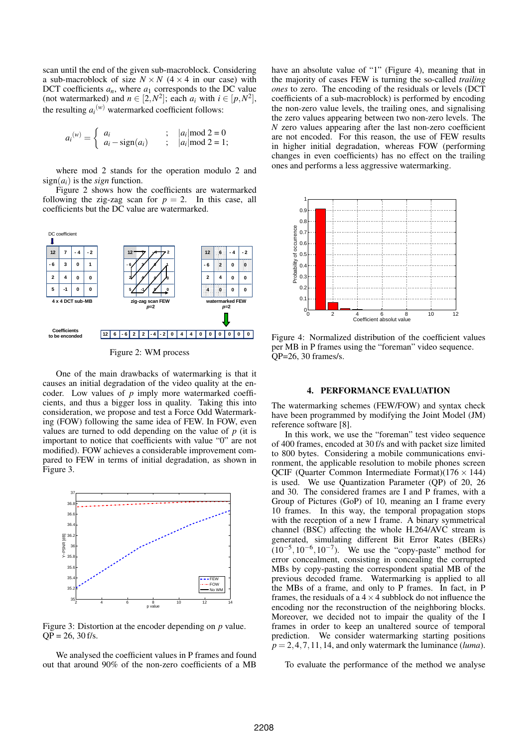scan until the end of the given sub-macroblock. Considering a sub-macroblock of size  $N \times N$  (4  $\times$  4 in our case) with DCT coefficients  $a_n$ , where  $a_1$  corresponds to the DC value (not watermarked) and  $n \in [2, N^2]$ ; each  $a_i$  with  $i \in [p, N^2]$ , the resulting  $a_i^{(w)}$  watermarked coefficient follows:

$$
a_i^{(w)} = \begin{cases} a_i & ; & |a_i| \text{mod } 2 = 0 \\ a_i - \text{sign}(a_i) & ; & |a_i| \text{mod } 2 = 1; \end{cases}
$$

where mod 2 stands for the operation modulo 2 and  $sign(a_i)$  is the *sign* function.

Figure 2 shows how the coefficients are watermarked following the zig-zag scan for  $p = 2$ . In this case, all coefficients but the DC value are watermarked.



Figure 2: WM process

One of the main drawbacks of watermarking is that it causes an initial degradation of the video quality at the encoder. Low values of *p* imply more watermarked coefficients, and thus a bigger loss in quality. Taking this into consideration, we propose and test a Force Odd Watermarking (FOW) following the same idea of FEW. In FOW, even values are turned to odd depending on the value of *p* (it is important to notice that coefficients with value "0" are not modified). FOW achieves a considerable improvement compared to FEW in terms of initial degradation, as shown in Figure 3.



Figure 3: Distortion at the encoder depending on *p* value.  $QP = 26$ , 30 f/s.

We analysed the coefficient values in P frames and found out that around 90% of the non-zero coefficients of a MB have an absolute value of "1" (Figure 4), meaning that in the majority of cases FEW is turning the so-called *trailing ones* to zero. The encoding of the residuals or levels (DCT coefficients of a sub-macroblock) is performed by encoding the non-zero value levels, the trailing ones, and signalising the zero values appearing between two non-zero levels. The *N* zero values appearing after the last non-zero coefficient are not encoded. For this reason, the use of FEW results in higher initial degradation, whereas FOW (performing changes in even coefficients) has no effect on the trailing ones and performs a less aggressive watermarking.



Figure 4: Normalized distribution of the coefficient values per MB in P frames using the "foreman" video sequence. QP=26, 30 frames/s.

#### 4. PERFORMANCE EVALUATION

The watermarking schemes (FEW/FOW) and syntax check have been programmed by modifying the Joint Model (JM) reference software [8].

In this work, we use the "foreman" test video sequence of 400 frames, encoded at 30 f/s and with packet size limited to 800 bytes. Considering a mobile communications environment, the applicable resolution to mobile phones screen OCIF (Quarter Common Intermediate Format) $(176 \times 144)$ is used. We use Quantization Parameter (QP) of 20, 26 and 30. The considered frames are I and P frames, with a Group of Pictures (GoP) of 10, meaning an I frame every 10 frames. In this way, the temporal propagation stops with the reception of a new I frame. A binary symmetrical channel (BSC) affecting the whole H.264/AVC stream is generated, simulating different Bit Error Rates (BERs)  $(10^{-5}, 10^{-6}, 10^{-7})$ . We use the "copy-paste" method for error concealment, consisting in concealing the corrupted MBs by copy-pasting the correspondent spatial MB of the previous decoded frame. Watermarking is applied to all the MBs of a frame, and only to P frames. In fact, in P frames, the residuals of a  $4 \times 4$  subblock do not influence the encoding nor the reconstruction of the neighboring blocks. Moreover, we decided not to impair the quality of the I frames in order to keep an unaltered source of temporal prediction. We consider watermarking starting positions  $p = 2, 4, 7, 11, 14$ , and only watermark the luminance (*luma*).

To evaluate the performance of the method we analyse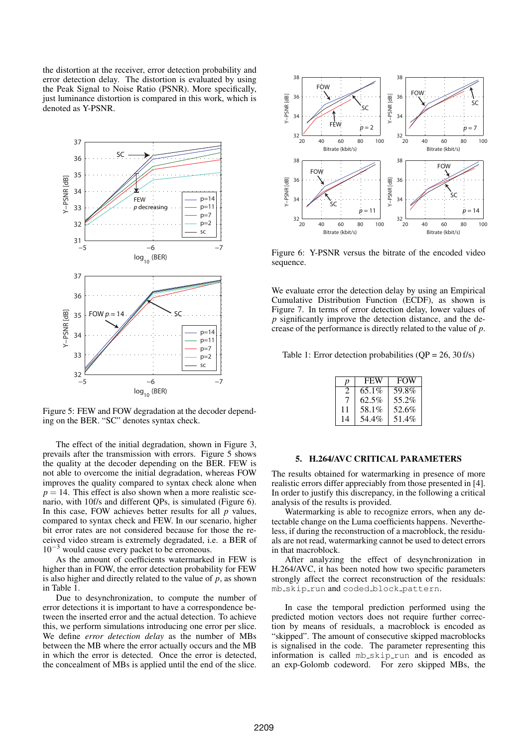the distortion at the receiver, error detection probability and error detection delay. The distortion is evaluated by using the Peak Signal to Noise Ratio (PSNR). More specifically, just luminance distortion is compared in this work, which is denoted as Y-PSNR.



Figure 5: FEW and FOW degradation at the decoder depending on the BER. "SC" denotes syntax check.

The effect of the initial degradation, shown in Figure 3, prevails after the transmission with errors. Figure 5 shows the quality at the decoder depending on the BER. FEW is not able to overcome the initial degradation, whereas FOW improves the quality compared to syntax check alone when  $p = 14$ . This effect is also shown when a more realistic scenario, with 10f/s and different QPs, is simulated (Figure 6). In this case, FOW achieves better results for all *p* values, compared to syntax check and FEW. In our scenario, higher bit error rates are not considered because for those the received video stream is extremely degradated, i.e. a BER of  $10^{-3}$  would cause every packet to be erroneous.

As the amount of coefficients watermarked in FEW is higher than in FOW, the error detection probability for FEW is also higher and directly related to the value of  $p$ , as shown in Table 1.

Due to desynchronization, to compute the number of error detections it is important to have a correspondence between the inserted error and the actual detection. To achieve this, we perform simulations introducing one error per slice. We define *error detection delay* as the number of MBs between the MB where the error actually occurs and the MB in which the error is detected. Once the error is detected, the concealment of MBs is applied until the end of the slice.



Figure 6: Y-PSNR versus the bitrate of the encoded video sequence.

We evaluate error the detection delay by using an Empirical Cumulative Distribution Function (ECDF), as shown is Figure 7. In terms of error detection delay, lower values of *p* significantly improve the detection distance, and the decrease of the performance is directly related to the value of *p*.

Table 1: Error detection probabilities  $OP = 26$ ,  $30 f/s$ )

| p  | <b>FEW</b> | <b>FOW</b> |
|----|------------|------------|
| 2  | $65.1\%$   | 59.8%      |
| 7  | 62.5%      | 55.2%      |
| 11 | 58.1%      | 52.6%      |
| 14 | 54.4%      | 51.4%      |

## 5. H.264/AVC CRITICAL PARAMETERS

The results obtained for watermarking in presence of more realistic errors differ appreciably from those presented in [4]. In order to justify this discrepancy, in the following a critical analysis of the results is provided.

Watermarking is able to recognize errors, when any detectable change on the Luma coefficients happens. Nevertheless, if during the reconstruction of a macroblock, the residuals are not read, watermarking cannot be used to detect errors in that macroblock.

After analyzing the effect of desynchronization in H.264/AVC, it has been noted how two specific parameters strongly affect the correct reconstruction of the residuals: mb\_skip\_run and coded\_block\_pattern.

In case the temporal prediction performed using the predicted motion vectors does not require further correction by means of residuals, a macroblock is encoded as "skipped". The amount of consecutive skipped macroblocks is signalised in the code. The parameter representing this information is called mb\_skip\_run and is encoded as an exp-Golomb codeword. For zero skipped MBs, the